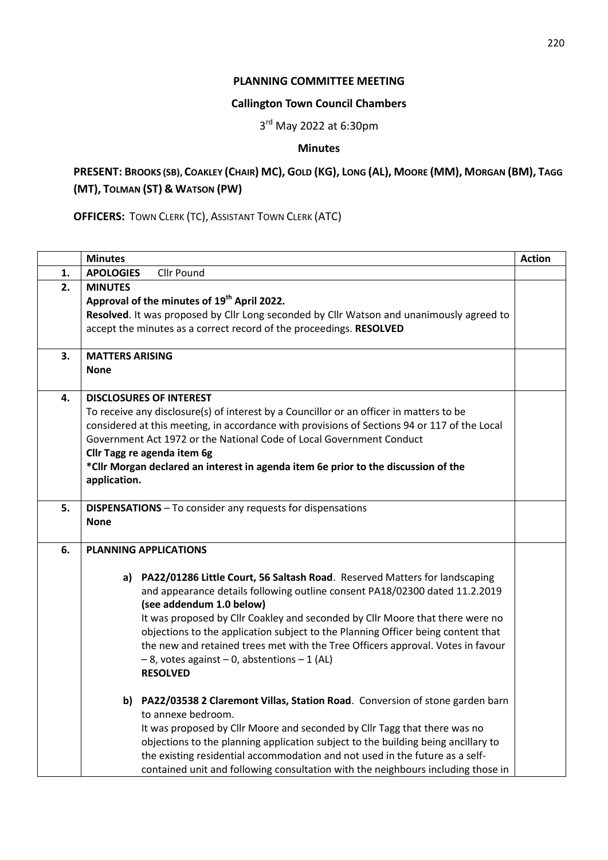## **PLANNING COMMITTEE MEETING**

### **Callington Town Council Chambers**

3<sup>rd</sup> May 2022 at 6:30pm

# **Minutes**

# PRESENT: BROOKS (SB), COAKLEY (CHAIR) MC), GOLD (KG), LONG (AL), MOORE (MM), MORGAN (BM), TAGG **(MT), TOLMAN (ST) & WATSON (PW)**

**OFFICERS:** TOWN CLERK (TC), ASSISTANT TOWN CLERK (ATC)

|    | <b>Minutes</b>                                                                     |                                                                                              | <b>Action</b> |
|----|------------------------------------------------------------------------------------|----------------------------------------------------------------------------------------------|---------------|
| 1. | <b>APOLOGIES</b>                                                                   | <b>Cllr Pound</b>                                                                            |               |
| 2. | <b>MINUTES</b>                                                                     |                                                                                              |               |
|    |                                                                                    | Approval of the minutes of 19 <sup>th</sup> April 2022.                                      |               |
|    |                                                                                    | Resolved. It was proposed by Cllr Long seconded by Cllr Watson and unanimously agreed to     |               |
|    |                                                                                    | accept the minutes as a correct record of the proceedings. RESOLVED                          |               |
| 3. | <b>MATTERS ARISING</b>                                                             |                                                                                              |               |
|    | <b>None</b>                                                                        |                                                                                              |               |
| 4. |                                                                                    | <b>DISCLOSURES OF INTEREST</b>                                                               |               |
|    |                                                                                    | To receive any disclosure(s) of interest by a Councillor or an officer in matters to be      |               |
|    |                                                                                    | considered at this meeting, in accordance with provisions of Sections 94 or 117 of the Local |               |
|    |                                                                                    | Government Act 1972 or the National Code of Local Government Conduct                         |               |
|    |                                                                                    | Cllr Tagg re agenda item 6g                                                                  |               |
|    | *Cllr Morgan declared an interest in agenda item 6e prior to the discussion of the |                                                                                              |               |
|    | application.                                                                       |                                                                                              |               |
| 5. |                                                                                    | <b>DISPENSATIONS</b> - To consider any requests for dispensations                            |               |
|    | <b>None</b>                                                                        |                                                                                              |               |
| 6. |                                                                                    | <b>PLANNING APPLICATIONS</b>                                                                 |               |
|    |                                                                                    |                                                                                              |               |
|    |                                                                                    | a) PA22/01286 Little Court, 56 Saltash Road. Reserved Matters for landscaping                |               |
|    |                                                                                    | and appearance details following outline consent PA18/02300 dated 11.2.2019                  |               |
|    |                                                                                    | (see addendum 1.0 below)                                                                     |               |
|    |                                                                                    | It was proposed by Cllr Coakley and seconded by Cllr Moore that there were no                |               |
|    |                                                                                    | objections to the application subject to the Planning Officer being content that             |               |
|    |                                                                                    | the new and retained trees met with the Tree Officers approval. Votes in favour              |               |
|    |                                                                                    | $-8$ , votes against $-0$ , abstentions $-1$ (AL)                                            |               |
|    |                                                                                    | <b>RESOLVED</b>                                                                              |               |
|    |                                                                                    | b) PA22/03538 2 Claremont Villas, Station Road. Conversion of stone garden barn              |               |
|    |                                                                                    | to annexe bedroom.                                                                           |               |
|    |                                                                                    | It was proposed by Cllr Moore and seconded by Cllr Tagg that there was no                    |               |
|    |                                                                                    | objections to the planning application subject to the building being ancillary to            |               |
|    |                                                                                    | the existing residential accommodation and not used in the future as a self-                 |               |
|    |                                                                                    | contained unit and following consultation with the neighbours including those in             |               |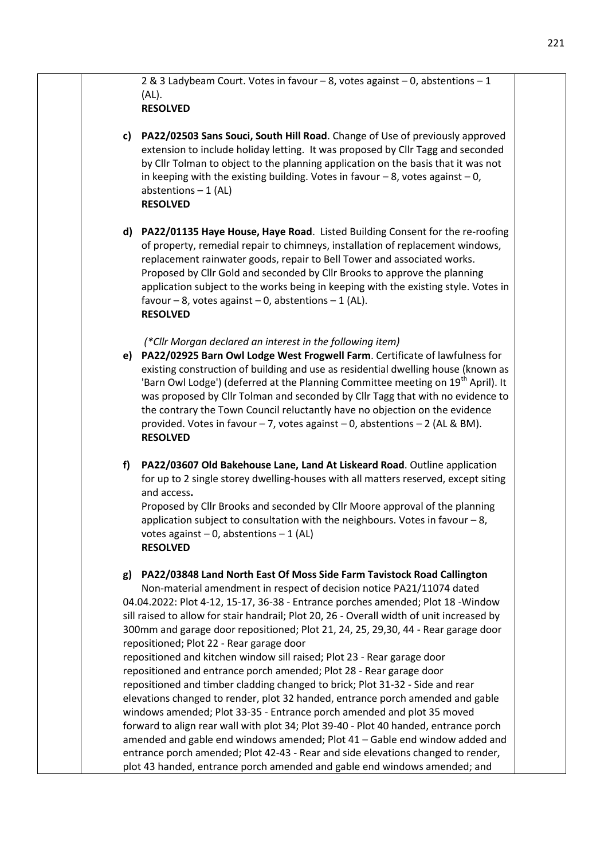2 & 3 Ladybeam Court. Votes in favour – 8, votes against – 0, abstentions – 1 (AL).

# **RESOLVED**

- **c) PA22/02503 Sans Souci, South Hill Road**. Change of Use of previously approved extension to include holiday letting. It was proposed by Cllr Tagg and seconded by Cllr Tolman to object to the planning application on the basis that it was not in keeping with the existing building. Votes in favour  $-8$ , votes against  $-0$ , abstentions  $-1$  (AL) **RESOLVED**
- **d) PA22/01135 Haye House, Haye Road**. Listed Building Consent for the re-roofing of property, remedial repair to chimneys, installation of replacement windows, replacement rainwater goods, repair to Bell Tower and associated works. Proposed by Cllr Gold and seconded by Cllr Brooks to approve the planning application subject to the works being in keeping with the existing style. Votes in favour – 8, votes against – 0, abstentions – 1 (AL). **RESOLVED**

### *(\*Cllr Morgan declared an interest in the following item)*

- **e) PA22/02925 Barn Owl Lodge West Frogwell Farm**. Certificate of lawfulness for existing construction of building and use as residential dwelling house (known as 'Barn Owl Lodge') (deferred at the Planning Committee meeting on 19<sup>th</sup> April). It was proposed by Cllr Tolman and seconded by Cllr Tagg that with no evidence to the contrary the Town Council reluctantly have no objection on the evidence provided. Votes in favour  $-7$ , votes against  $-0$ , abstentions  $-2$  (AL & BM). **RESOLVED**
- **f) PA22/03607 Old Bakehouse Lane, Land At Liskeard Road**. Outline application for up to 2 single storey dwelling-houses with all matters reserved, except siting and access**.**

Proposed by Cllr Brooks and seconded by Cllr Moore approval of the planning application subject to consultation with the neighbours. Votes in favour  $-8$ , votes against  $-0$ , abstentions  $-1$  (AL) **RESOLVED**

### **g) PA22/03848 Land North East Of Moss Side Farm Tavistock Road Callington**

Non-material amendment in respect of decision notice PA21/11074 dated 04.04.2022: Plot 4-12, 15-17, 36-38 - Entrance porches amended; Plot 18 -Window sill raised to allow for stair handrail; Plot 20, 26 - Overall width of unit increased by 300mm and garage door repositioned; Plot 21, 24, 25, 29,30, 44 - Rear garage door repositioned; Plot 22 - Rear garage door

repositioned and kitchen window sill raised; Plot 23 - Rear garage door repositioned and entrance porch amended; Plot 28 - Rear garage door repositioned and timber cladding changed to brick; Plot 31-32 - Side and rear elevations changed to render, plot 32 handed, entrance porch amended and gable windows amended; Plot 33-35 - Entrance porch amended and plot 35 moved forward to align rear wall with plot 34; Plot 39-40 - Plot 40 handed, entrance porch amended and gable end windows amended; Plot 41 – Gable end window added and entrance porch amended; Plot 42-43 - Rear and side elevations changed to render, plot 43 handed, entrance porch amended and gable end windows amended; and